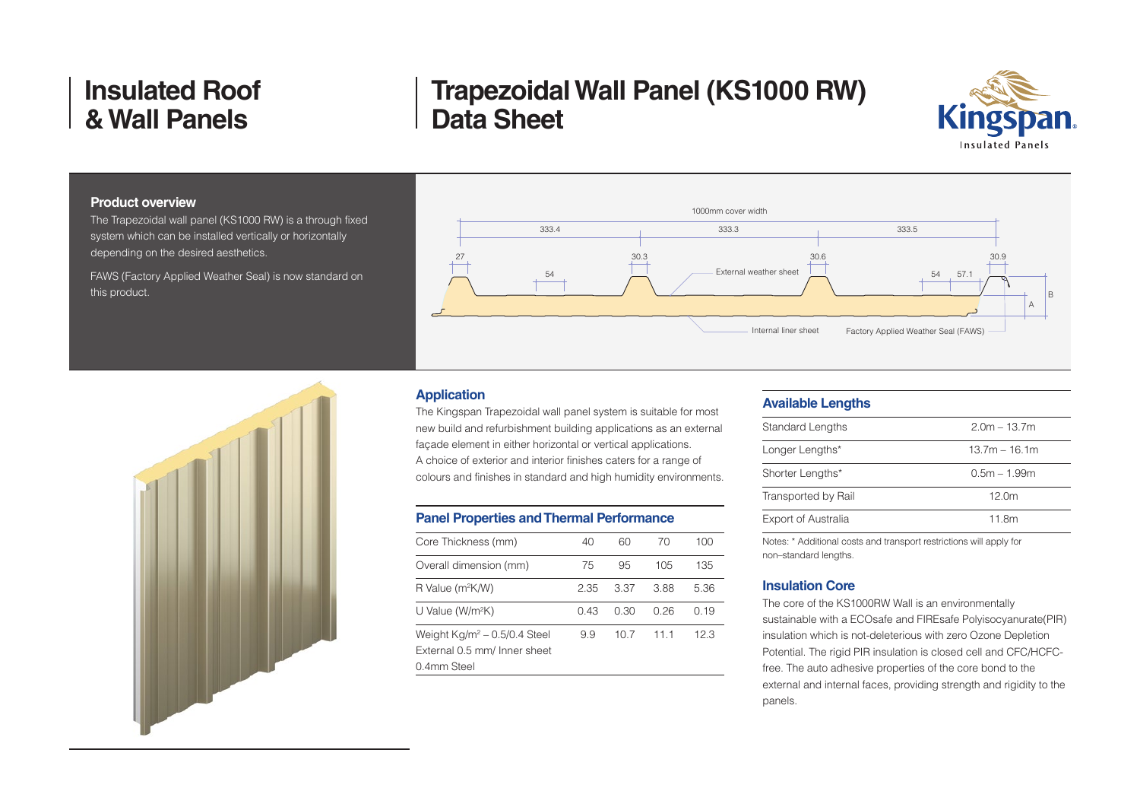# **Trapezoidal Wall Panel (KS1000 RW) Data Sheet**



### **Product overview**

The Trapezoidal wall panel (KS1000 RW) is a through fixed system which can be installed vertically or horizontally depending on the desired aesthetics.

FAWS (Factory Applied Weather Seal) is now standard on this product.



### **Application**

The Kingspan Trapezoidal wall panel system is suitable for most new build and refurbishment building applications as an external façade element in either horizontal or vertical applications. A choice of exterior and interior finishes caters for a range of colours and finishes in standard and high humidity environments.

### **Panel Properties and Thermal Performance**

| Core Thickness (mm)                                                            | 40   | 60   | 70   | 100  |
|--------------------------------------------------------------------------------|------|------|------|------|
| Overall dimension (mm)                                                         | 75   | 95   | 105  | 135  |
| R Value (m <sup>2</sup> K/W)                                                   | 2.35 | 337  | 3.88 | 5.36 |
| U Value (W/m <sup>2</sup> K)                                                   | በ 43 | O 30 | 0.26 | በ 19 |
| Weight $Kg/m^2$ – 0.5/0.4 Steel<br>External 0.5 mm/ Inner sheet<br>0.4mm Steel | 9.9  | 10 7 | 11 1 | 12.3 |
|                                                                                |      |      |      |      |

#### **Available Lengths**

| <b>Standard Lengths</b>    | $2.0m - 13.7m$    |
|----------------------------|-------------------|
| Longer Lengths*            | $13.7m - 16.1m$   |
| Shorter Lengths*           | $0.5m - 1.99m$    |
| Transported by Rail        | 12.0 <sub>m</sub> |
| <b>Export of Australia</b> | 11.8m             |
|                            |                   |

Notes: \* Additional costs and transport restrictions will apply for non–standard lengths.

### **Insulation Core**

The core of the KS1000RW Wall is an environmentally sustainable with a ECOsafe and FIREsafe Polyisocyanurate(PIR) insulation which is not-deleterious with zero Ozone Depletion Potential. The rigid PIR insulation is closed cell and CFC/HCFCfree. The auto adhesive properties of the core bond to the external and internal faces, providing strength and rigidity to the panels.

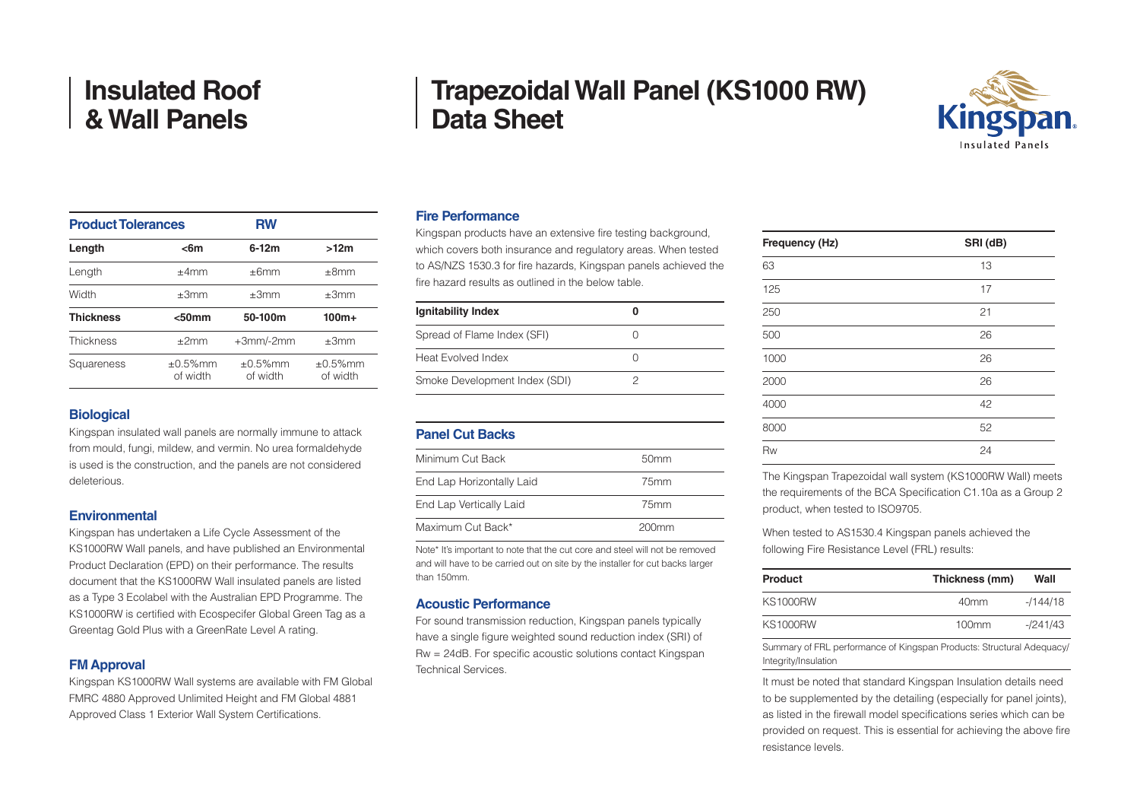| <b>Trapezoidal Wall Panel (KS1000 RW)</b> |  |
|-------------------------------------------|--|
| <b>Data Sheet</b>                         |  |



#### **Product Tolerances** RW **Length <6m 6-12m >12m** Length ±4mm ±6mm ±8mm Width  $\pm 3$ mm  $\pm 3$ mm  $\pm 3$ mm **Thickness <50mm 50-100m 100m+**  $\text{Thickness}$   $\pm 2 \text{mm}$   $\pm 3 \text{mm}$ /-2mm  $\pm 3 \text{mm}$ Squareness  $\pm 0.5\%$ mm of width ±0.5%mm of width ±0.5%mm of width

### **Biological**

Kingspan insulated wall panels are normally immune to attack from mould, fungi, mildew, and vermin. No urea formaldehyde is used is the construction, and the panels are not considered deleterious.

#### **Environmental**

Kingspan has undertaken a Life Cycle Assessment of the KS1000RW Wall panels, and have published an Environmental Product Declaration (EPD) on their performance. The results document that the KS1000RW Wall insulated panels are listed as a Type 3 Ecolabel with the Australian EPD Programme. The KS1000RW is certified with Ecospecifer Global Green Tag as a Greentag Gold Plus with a GreenRate Level A rating.

# **FM Approval**

Kingspan KS1000RW Wall systems are available with FM Global FMRC 4880 Approved Unlimited Height and FM Global 4881 Approved Class 1 Exterior Wall System Certifications.

# **Fire Performance**

Kingspan products have an extensive fire testing background, which covers both insurance and regulatory areas. When tested to AS/NZS 1530.3 for fire hazards, Kingspan panels achieved the fire hazard results as outlined in the below table.

| <b>Ignitability Index</b>     |  |
|-------------------------------|--|
| Spread of Flame Index (SFI)   |  |
| Heat Evolved Index            |  |
| Smoke Development Index (SDI) |  |

| <b>Panel Cut Backs</b>    |                  |
|---------------------------|------------------|
| Minimum Cut Back          | 50 <sub>mm</sub> |
| End Lap Horizontally Laid | 75 <sub>mm</sub> |
| End Lap Vertically Laid   | 75 <sub>mm</sub> |
| Maximum Cut Back*         | $200$ mm         |

Note\* It's important to note that the cut core and steel will not be removed and will have to be carried out on site by the installer for cut backs larger than 150mm.

### **Acoustic Performance**

For sound transmission reduction, Kingspan panels typically have a single figure weighted sound reduction index (SRI) of Rw = 24dB. For specific acoustic solutions contact Kingspan Technical Services.

| Frequency (Hz) | SRI (dB) |
|----------------|----------|
| 63             | 13       |
| 125            | 17       |
| 250            | 21       |
| 500            | 26       |
| 1000           | 26       |
| 2000           | 26       |
| 4000           | 42       |
| 8000           | 52       |
| Rw             | 24       |

The Kingspan Trapezoidal wall system (KS1000RW Wall) meets the requirements of the BCA Specification C1.10a as a Group 2 product, when tested to ISO9705.

When tested to AS1530.4 Kingspan panels achieved the following Fire Resistance Level (FRL) results:

| Product  | Thickness (mm)   | Wall       |
|----------|------------------|------------|
| KS1000RW | 40 <sub>mm</sub> | $-1144/18$ |
| KS1000RW | $100$ mm         | $-1241/43$ |

Summary of FRL performance of Kingspan Products: Structural Adequacy/ Integrity/Insulation

It must be noted that standard Kingspan Insulation details need to be supplemented by the detailing (especially for panel joints), as listed in the firewall model specifications series which can be provided on request. This is essential for achieving the above fire resistance levels.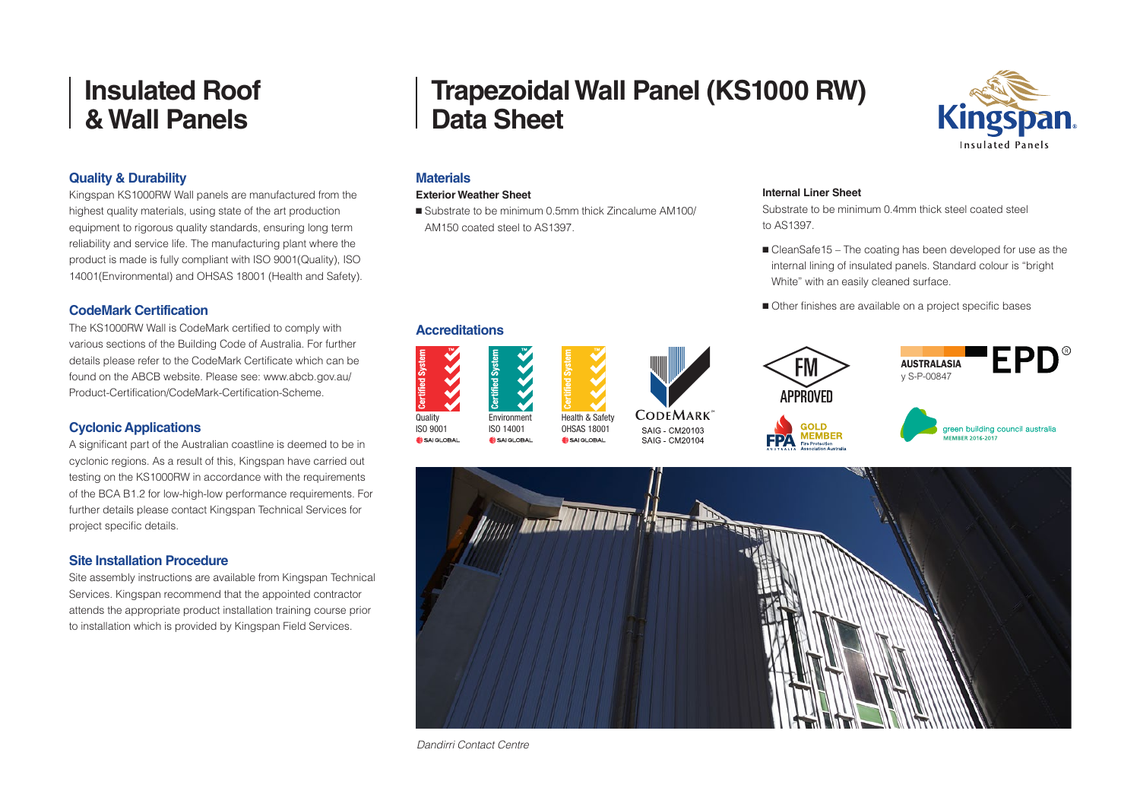# **Quality & Durability**

Kingspan KS1000RW Wall panels are manufactured from the highest quality materials, using state of the art production equipment to rigorous quality standards, ensuring long term reliability and service life. The manufacturing plant where the product is made is fully compliant with ISO 9001(Quality), ISO 14001(Environmental) and OHSAS 18001 (Health and Safety).

# **CodeMark Certification**

The KS1000RW Wall is CodeMark certified to comply with various sections of the Building Code of Australia. For further details please refer to the CodeMark Certificate which can be found on the ABCB website. Please see: www.abcb.gov.au/ Product-Certification/CodeMark-Certification-Scheme.

# **Cyclonic Applications**

A significant part of the Australian coastline is deemed to be in cyclonic regions. As a result of this, Kingspan have carried out testing on the KS1000RW in accordance with the requirements of the BCA B1.2 for low-high-low performance requirements. For further details please contact Kingspan Technical Services for project specific details.

# **Site Installation Procedure**

Site assembly instructions are available from Kingspan Technical Services. Kingspan recommend that the appointed contractor attends the appropriate product installation training course prior to installation which is provided by Kingspan Field Services.

# **Trapezoidal Wall Panel (KS1000 RW) Data Sheet**



# **Materials**

#### **Exterior Weather Sheet**

**Accreditations**

**Environment** ISO 14001

SAIGLOBAL

Quality ISO 9001

 $S = 41 \text{ G}$ 

■ Substrate to be minimum 0.5mm thick Zincalume AM100/ AM150 coated steel to AS1397.

> Health & Safety OHSAS 18001

SAIGLOBAL

### **Internal Liner Sheet**

Substrate to be minimum 0.4mm thick steel coated steel to AS1397.

- CleanSafe15 The coating has been developed for use as the internal lining of insulated panels. Standard colour is "bright White" with an easily cleaned surface.
- Other finishes are available on a project specific bases





*Dandirri Contact Centre*